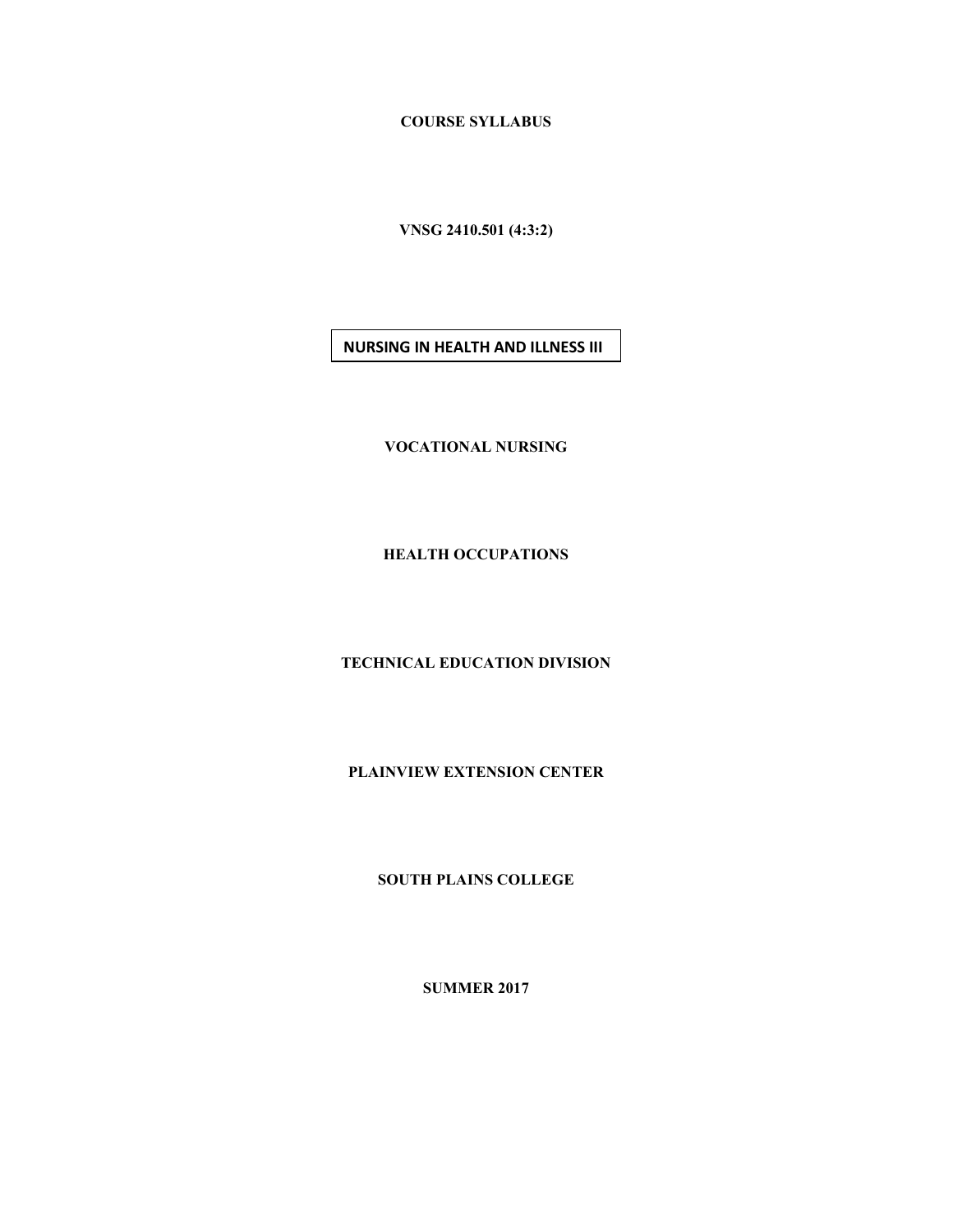**COURSE SYLLABUS**

**VNSG 2410.501 (4:3:2)**

**NURSING IN HEALTH AND ILLNESS III**

**VOCATIONAL NURSING**

**HEALTH OCCUPATIONS**

**TECHNICAL EDUCATION DIVISION**

**PLAINVIEW EXTENSION CENTER**

**SOUTH PLAINS COLLEGE**

**SUMMER 2017**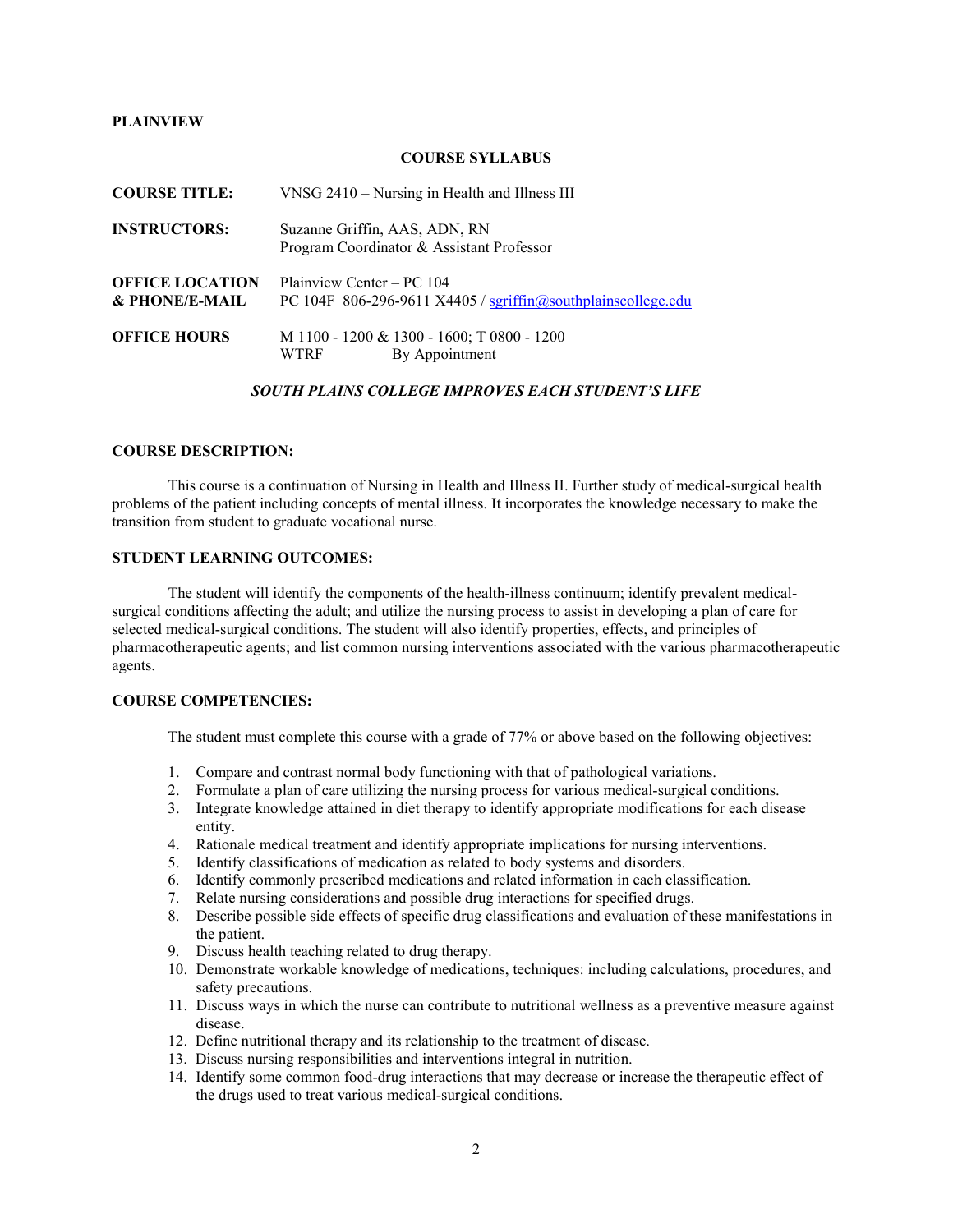#### **PLAINVIEW**

#### **COURSE SYLLABUS**

| <b>COURSE TITLE:</b>                     | VNSG 2410 – Nursing in Health and Illness III                                                                       |
|------------------------------------------|---------------------------------------------------------------------------------------------------------------------|
| <b>INSTRUCTORS:</b>                      | Suzanne Griffin, AAS, ADN, RN<br>Program Coordinator & Assistant Professor                                          |
| <b>OFFICE LOCATION</b><br>& PHONE/E-MAIL | Plainview Center – PC 104<br>PC 104F $806-296-9611$ X4405 / $sqrt(\omega)$ sqriffin $\omega$ southplainscollege.edu |
| <b>OFFICE HOURS</b>                      | M 1100 - 1200 & 1300 - 1600; T 0800 - 1200<br>By Appointment<br>WTRF                                                |

#### *SOUTH PLAINS COLLEGE IMPROVES EACH STUDENT'S LIFE*

#### **COURSE DESCRIPTION:**

This course is a continuation of Nursing in Health and Illness II. Further study of medical-surgical health problems of the patient including concepts of mental illness. It incorporates the knowledge necessary to make the transition from student to graduate vocational nurse.

### **STUDENT LEARNING OUTCOMES:**

The student will identify the components of the health-illness continuum; identify prevalent medicalsurgical conditions affecting the adult; and utilize the nursing process to assist in developing a plan of care for selected medical-surgical conditions. The student will also identify properties, effects, and principles of pharmacotherapeutic agents; and list common nursing interventions associated with the various pharmacotherapeutic agents.

## **COURSE COMPETENCIES:**

The student must complete this course with a grade of 77% or above based on the following objectives:

- 1. Compare and contrast normal body functioning with that of pathological variations.
- 2. Formulate a plan of care utilizing the nursing process for various medical-surgical conditions.
- 3. Integrate knowledge attained in diet therapy to identify appropriate modifications for each disease entity.
- 4. Rationale medical treatment and identify appropriate implications for nursing interventions.
- 5. Identify classifications of medication as related to body systems and disorders.
- 6. Identify commonly prescribed medications and related information in each classification.
- 7. Relate nursing considerations and possible drug interactions for specified drugs.
- 8. Describe possible side effects of specific drug classifications and evaluation of these manifestations in the patient.
- 9. Discuss health teaching related to drug therapy.
- 10. Demonstrate workable knowledge of medications, techniques: including calculations, procedures, and safety precautions.
- 11. Discuss ways in which the nurse can contribute to nutritional wellness as a preventive measure against disease.
- 12. Define nutritional therapy and its relationship to the treatment of disease.
- 13. Discuss nursing responsibilities and interventions integral in nutrition.
- 14. Identify some common food-drug interactions that may decrease or increase the therapeutic effect of the drugs used to treat various medical-surgical conditions.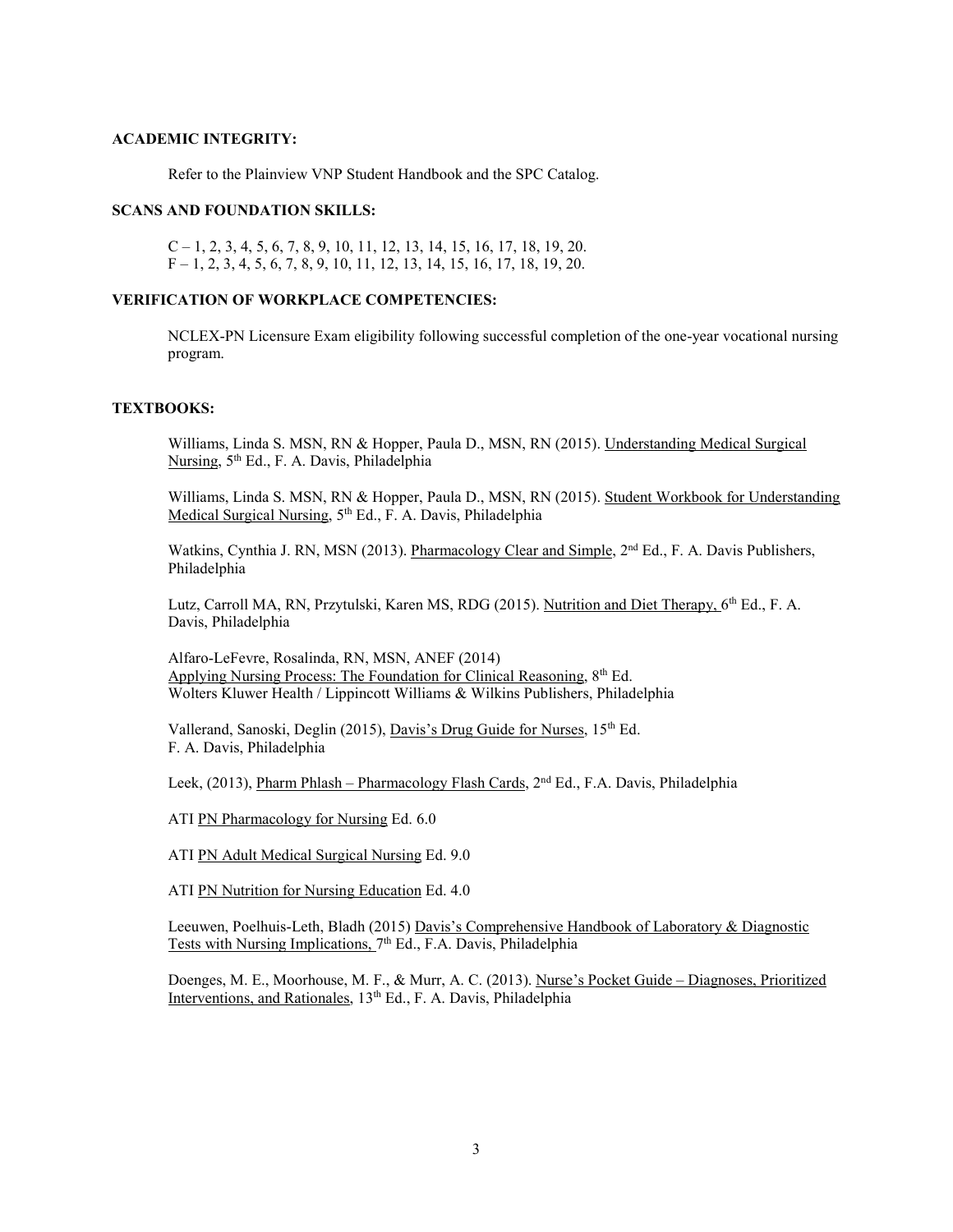#### **ACADEMIC INTEGRITY:**

Refer to the Plainview VNP Student Handbook and the SPC Catalog.

## **SCANS AND FOUNDATION SKILLS:**

 $C-1$ , 2, 3, 4, 5, 6, 7, 8, 9, 10, 11, 12, 13, 14, 15, 16, 17, 18, 19, 20.  $F-1, 2, 3, 4, 5, 6, 7, 8, 9, 10, 11, 12, 13, 14, 15, 16, 17, 18, 19, 20.$ 

## **VERIFICATION OF WORKPLACE COMPETENCIES:**

NCLEX-PN Licensure Exam eligibility following successful completion of the one-year vocational nursing program.

#### **TEXTBOOKS:**

Williams, Linda S. MSN, RN & Hopper, Paula D., MSN, RN (2015). Understanding Medical Surgical Nursing, 5th Ed., F. A. Davis, Philadelphia

Williams, Linda S. MSN, RN & Hopper, Paula D., MSN, RN (2015). Student Workbook for Understanding Medical Surgical Nursing, 5<sup>th</sup> Ed., F. A. Davis, Philadelphia

Watkins, Cynthia J. RN, MSN (2013). Pharmacology Clear and Simple,  $2<sup>nd</sup> Ed.$ , F. A. Davis Publishers, Philadelphia

Lutz, Carroll MA, RN, Przytulski, Karen MS, RDG (2015). Nutrition and Diet Therapy, 6<sup>th</sup> Ed., F. A. Davis, Philadelphia

Alfaro-LeFevre, Rosalinda, RN, MSN, ANEF (2014) Applying Nursing Process: The Foundation for Clinical Reasoning, 8<sup>th</sup> Ed. Wolters Kluwer Health / Lippincott Williams & Wilkins Publishers, Philadelphia

Vallerand, Sanoski, Deglin (2015), Davis's Drug Guide for Nurses, 15<sup>th</sup> Ed. F. A. Davis, Philadelphia

Leek, (2013), Pharm Phlash – Pharmacology Flash Cards, 2nd Ed., F.A. Davis, Philadelphia

ATI PN Pharmacology for Nursing Ed. 6.0

ATI PN Adult Medical Surgical Nursing Ed. 9.0

ATI PN Nutrition for Nursing Education Ed. 4.0

Leeuwen, Poelhuis-Leth, Bladh (2015) Davis's Comprehensive Handbook of Laboratory & Diagnostic Tests with Nursing Implications, 7<sup>th</sup> Ed., F.A. Davis, Philadelphia

Doenges, M. E., Moorhouse, M. F., & Murr, A. C. (2013). Nurse's Pocket Guide – Diagnoses, Prioritized Interventions, and Rationales, 13<sup>th</sup> Ed., F. A. Davis, Philadelphia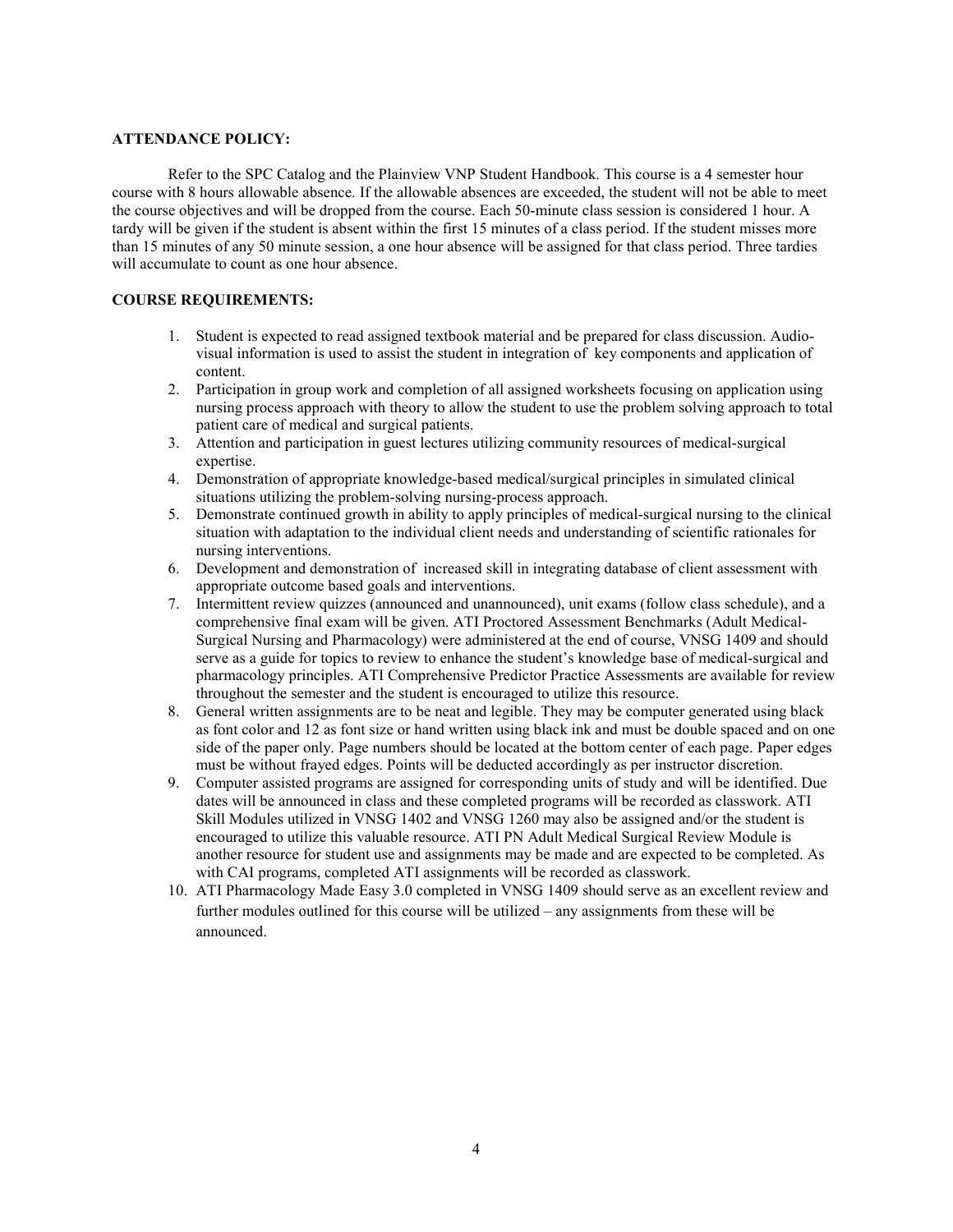#### **ATTENDANCE POLICY:**

Refer to the SPC Catalog and the Plainview VNP Student Handbook. This course is a 4 semester hour course with 8 hours allowable absence. If the allowable absences are exceeded, the student will not be able to meet the course objectives and will be dropped from the course. Each 50-minute class session is considered 1 hour. A tardy will be given if the student is absent within the first 15 minutes of a class period. If the student misses more than 15 minutes of any 50 minute session, a one hour absence will be assigned for that class period. Three tardies will accumulate to count as one hour absence.

## **COURSE REQUIREMENTS:**

- 1. Student is expected to read assigned textbook material and be prepared for class discussion. Audiovisual information is used to assist the student in integration of key components and application of content.
- 2. Participation in group work and completion of all assigned worksheets focusing on application using nursing process approach with theory to allow the student to use the problem solving approach to total patient care of medical and surgical patients.
- 3. Attention and participation in guest lectures utilizing community resources of medical-surgical expertise.
- 4. Demonstration of appropriate knowledge-based medical/surgical principles in simulated clinical situations utilizing the problem-solving nursing-process approach.
- 5. Demonstrate continued growth in ability to apply principles of medical-surgical nursing to the clinical situation with adaptation to the individual client needs and understanding of scientific rationales for nursing interventions.
- 6. Development and demonstration of increased skill in integrating database of client assessment with appropriate outcome based goals and interventions.
- 7. Intermittent review quizzes (announced and unannounced), unit exams (follow class schedule), and a comprehensive final exam will be given. ATI Proctored Assessment Benchmarks (Adult Medical-Surgical Nursing and Pharmacology) were administered at the end of course, VNSG 1409 and should serve as a guide for topics to review to enhance the student's knowledge base of medical-surgical and pharmacology principles. ATI Comprehensive Predictor Practice Assessments are available for review throughout the semester and the student is encouraged to utilize this resource.
- 8. General written assignments are to be neat and legible. They may be computer generated using black as font color and 12 as font size or hand written using black ink and must be double spaced and on one side of the paper only. Page numbers should be located at the bottom center of each page. Paper edges must be without frayed edges. Points will be deducted accordingly as per instructor discretion.
- 9. Computer assisted programs are assigned for corresponding units of study and will be identified. Due dates will be announced in class and these completed programs will be recorded as classwork. ATI Skill Modules utilized in VNSG 1402 and VNSG 1260 may also be assigned and/or the student is encouraged to utilize this valuable resource. ATI PN Adult Medical Surgical Review Module is another resource for student use and assignments may be made and are expected to be completed. As with CAI programs, completed ATI assignments will be recorded as classwork.
- 10. ATI Pharmacology Made Easy 3.0 completed in VNSG 1409 should serve as an excellent review and further modules outlined for this course will be utilized – any assignments from these will be announced.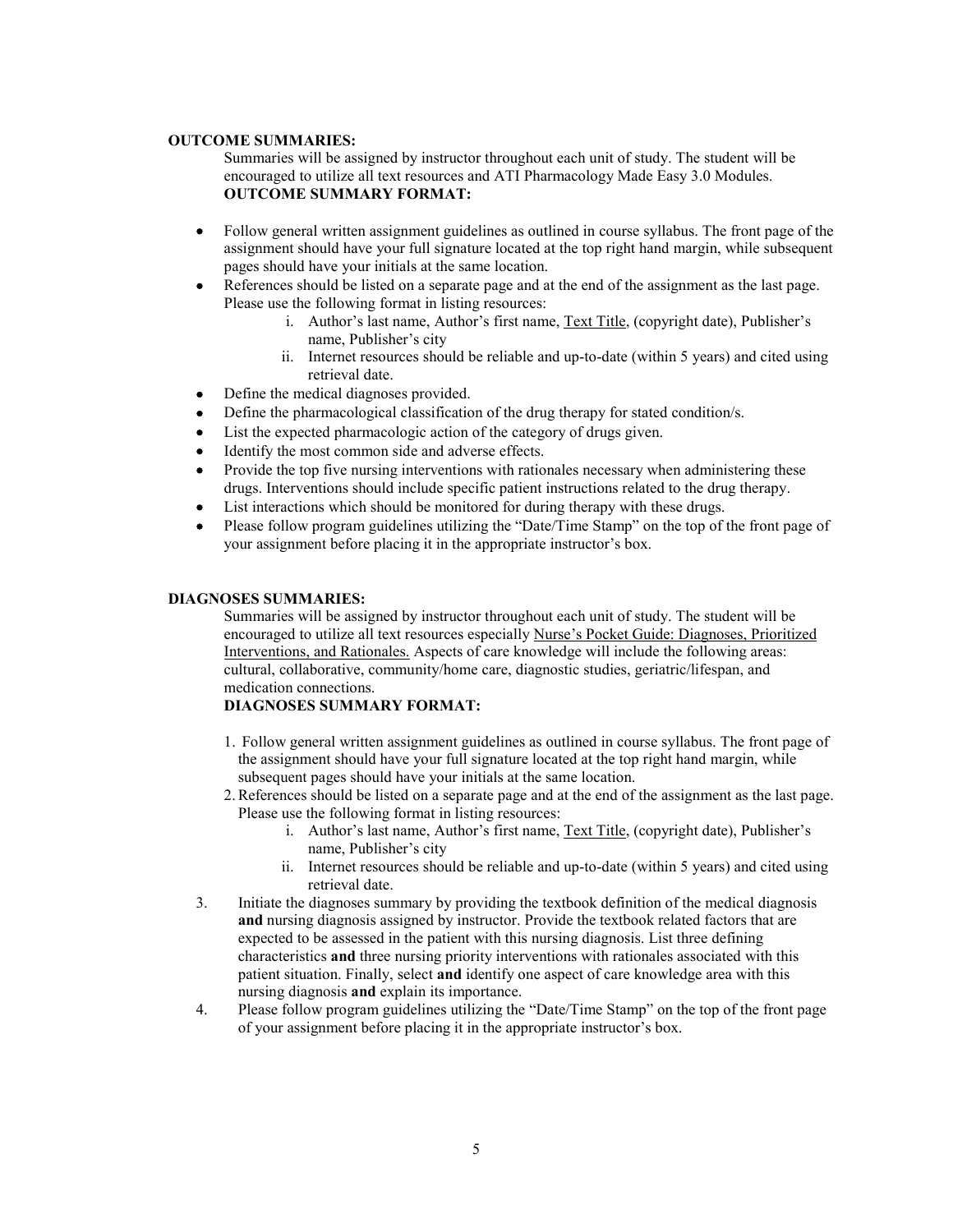#### **OUTCOME SUMMARIES:**

Summaries will be assigned by instructor throughout each unit of study. The student will be encouraged to utilize all text resources and ATI Pharmacology Made Easy 3.0 Modules. **OUTCOME SUMMARY FORMAT:**

- Follow general written assignment guidelines as outlined in course syllabus. The front page of the assignment should have your full signature located at the top right hand margin, while subsequent pages should have your initials at the same location.
- References should be listed on a separate page and at the end of the assignment as the last page. Please use the following format in listing resources:
	- i. Author's last name, Author's first name, Text Title, (copyright date), Publisher's name, Publisher's city
	- ii. Internet resources should be reliable and up-to-date (within 5 years) and cited using retrieval date.
- Define the medical diagnoses provided.
- Define the pharmacological classification of the drug therapy for stated condition/s.
- List the expected pharmacologic action of the category of drugs given.
- Identify the most common side and adverse effects.
- Provide the top five nursing interventions with rationales necessary when administering these drugs. Interventions should include specific patient instructions related to the drug therapy.
- List interactions which should be monitored for during therapy with these drugs.
- Please follow program guidelines utilizing the "Date/Time Stamp" on the top of the front page of your assignment before placing it in the appropriate instructor's box.

#### **DIAGNOSES SUMMARIES:**

Summaries will be assigned by instructor throughout each unit of study. The student will be encouraged to utilize all text resources especially Nurse's Pocket Guide: Diagnoses, Prioritized Interventions, and Rationales. Aspects of care knowledge will include the following areas: cultural, collaborative, community/home care, diagnostic studies, geriatric/lifespan, and medication connections.

#### **DIAGNOSES SUMMARY FORMAT:**

- 1. Follow general written assignment guidelines as outlined in course syllabus. The front page of the assignment should have your full signature located at the top right hand margin, while subsequent pages should have your initials at the same location.
- 2.References should be listed on a separate page and at the end of the assignment as the last page. Please use the following format in listing resources:
	- i. Author's last name, Author's first name, Text Title, (copyright date), Publisher's name, Publisher's city
	- ii. Internet resources should be reliable and up-to-date (within 5 years) and cited using retrieval date.
- 3. Initiate the diagnoses summary by providing the textbook definition of the medical diagnosis **and** nursing diagnosis assigned by instructor. Provide the textbook related factors that are expected to be assessed in the patient with this nursing diagnosis. List three defining characteristics **and** three nursing priority interventions with rationales associated with this patient situation. Finally, select **and** identify one aspect of care knowledge area with this nursing diagnosis **and** explain its importance.
- 4. Please follow program guidelines utilizing the "Date/Time Stamp" on the top of the front page of your assignment before placing it in the appropriate instructor's box.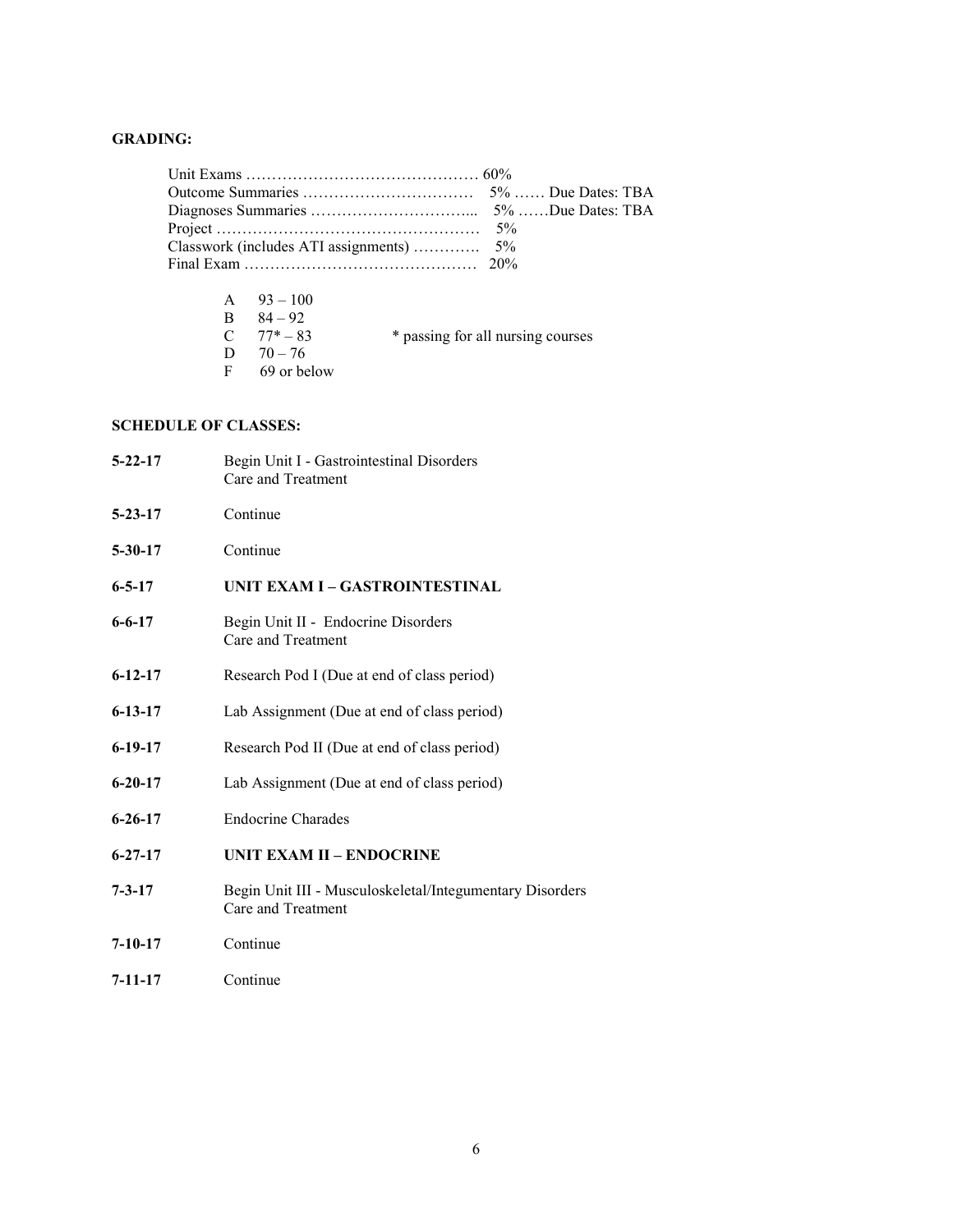# **GRADING:**

| Classwork (includes ATI assignments)  5% |  |
|------------------------------------------|--|
|                                          |  |

| A $93-100$     |                                   |
|----------------|-----------------------------------|
| $84 - 92$      |                                   |
| $C = 77* - 83$ | * passing for all nursing courses |
| D $70-76$      |                                   |
| 69 or below    |                                   |
|                |                                   |

# **SCHEDULE OF CLASSES:**

| $5 - 22 - 17$ | Begin Unit I - Gastrointestinal Disorders<br>Care and Treatment                |
|---------------|--------------------------------------------------------------------------------|
| $5 - 23 - 17$ | Continue                                                                       |
| $5 - 30 - 17$ | Continue                                                                       |
| $6 - 5 - 17$  | UNIT EXAM I – GASTROINTESTINAL                                                 |
| $6 - 6 - 17$  | Begin Unit II - Endocrine Disorders<br>Care and Treatment                      |
| $6 - 12 - 17$ | Research Pod I (Due at end of class period)                                    |
| $6 - 13 - 17$ | Lab Assignment (Due at end of class period)                                    |
| $6-19-17$     | Research Pod II (Due at end of class period)                                   |
| $6 - 20 - 17$ | Lab Assignment (Due at end of class period)                                    |
| $6 - 26 - 17$ | <b>Endocrine Charades</b>                                                      |
| $6 - 27 - 17$ | UNIT EXAM II - ENDOCRINE                                                       |
| $7 - 3 - 17$  | Begin Unit III - Musculoskeletal/Integumentary Disorders<br>Care and Treatment |
| $7 - 10 - 17$ | Continue                                                                       |
| 7-11-17       | Continue                                                                       |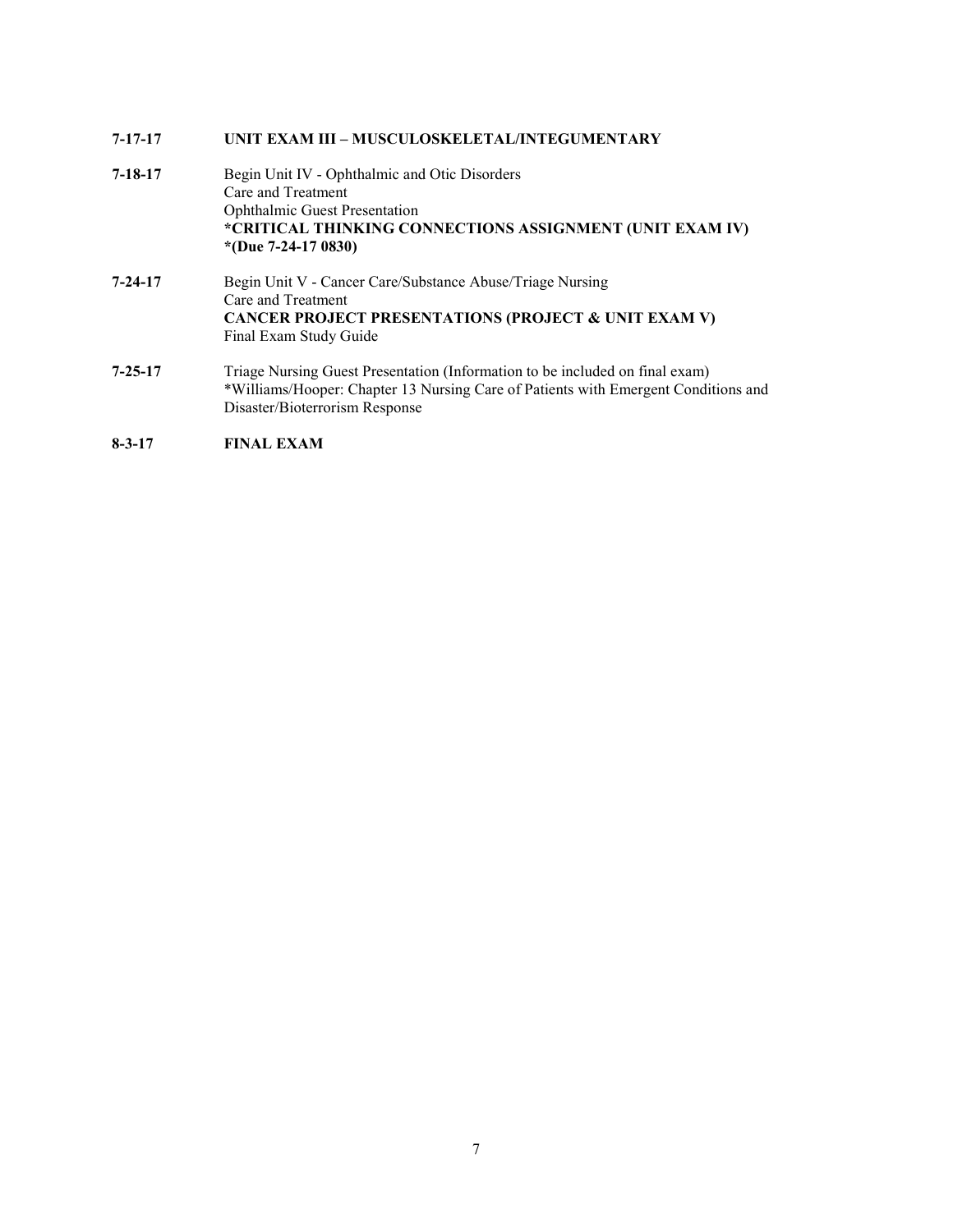# **7-17-17 UNIT EXAM III – MUSCULOSKELETAL/INTEGUMENTARY**

| $7 - 18 - 17$ | Begin Unit IV - Ophthalmic and Otic Disorders<br>Care and Treatment<br><b>Ophthalmic Guest Presentation</b><br>*CRITICAL THINKING CONNECTIONS ASSIGNMENT (UNIT EXAM IV)<br>*(Due 7-24-17 0830)       |
|---------------|------------------------------------------------------------------------------------------------------------------------------------------------------------------------------------------------------|
| $7 - 24 - 17$ | Begin Unit V - Cancer Care/Substance Abuse/Triage Nursing<br>Care and Treatment<br>CANCER PROJECT PRESENTATIONS (PROJECT & UNIT EXAM V)<br>Final Exam Study Guide                                    |
| $7 - 25 - 17$ | Triage Nursing Guest Presentation (Information to be included on final exam)<br>*Williams/Hooper: Chapter 13 Nursing Care of Patients with Emergent Conditions and<br>Disaster/Bioterrorism Response |

# **8-3-17 FINAL EXAM**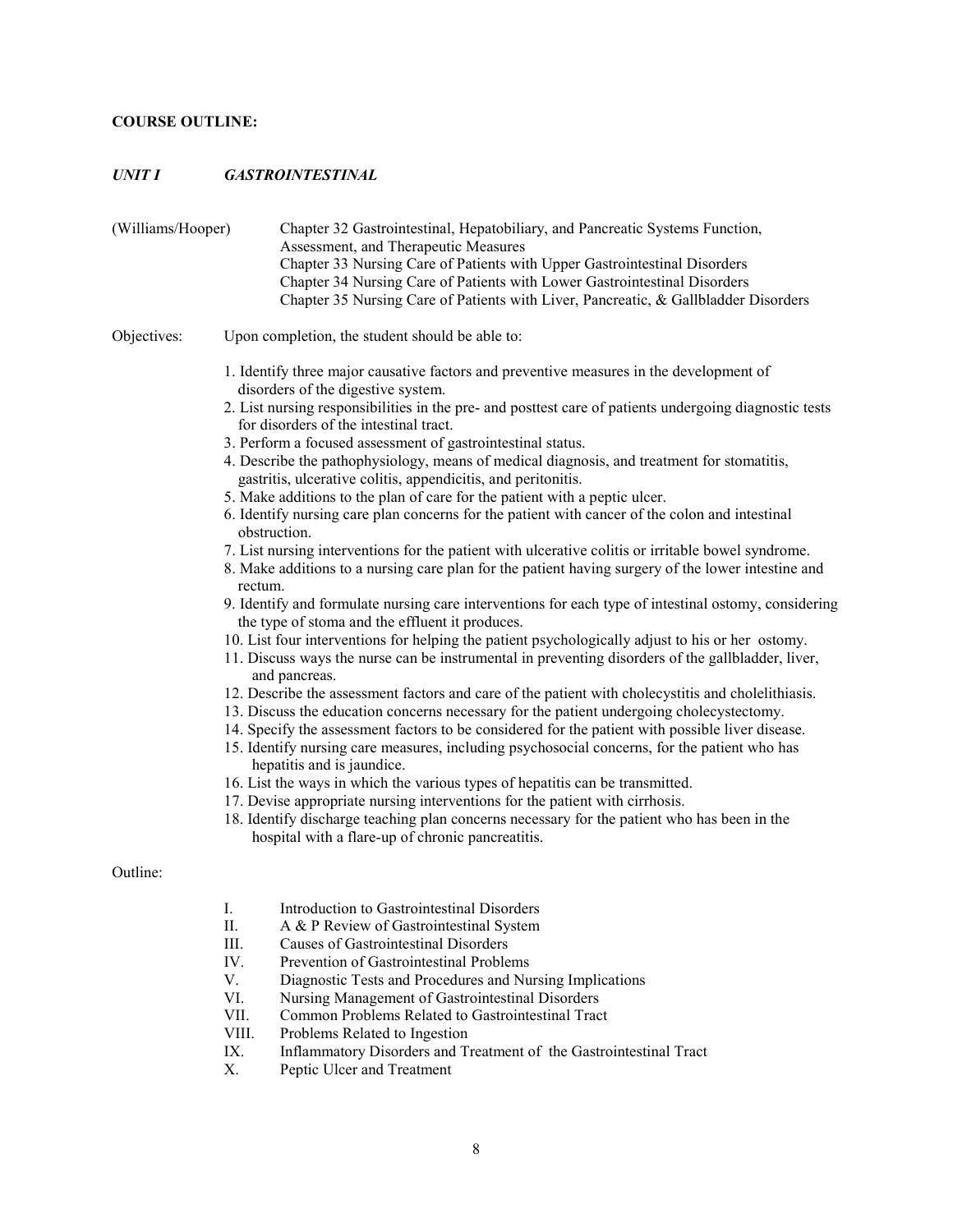# **COURSE OUTLINE:**

# *UNIT I GASTROINTESTINAL*

| (Williams/Hooper) | Chapter 32 Gastrointestinal, Hepatobiliary, and Pancreatic Systems Function,<br>Assessment, and Therapeutic Measures<br>Chapter 33 Nursing Care of Patients with Upper Gastrointestinal Disorders<br>Chapter 34 Nursing Care of Patients with Lower Gastrointestinal Disorders<br>Chapter 35 Nursing Care of Patients with Liver, Pancreatic, & Gallbladder Disorders                                                                                                                                                                                                                                                                                                                                                                                                                                                                                                                                                                                                                                                                                                                                                                                                                                                                                                                                                                                                                                                                                                                                                                                                                                                                                                                                                                                                                                                                                                                                                                                                                                                                                                                |
|-------------------|--------------------------------------------------------------------------------------------------------------------------------------------------------------------------------------------------------------------------------------------------------------------------------------------------------------------------------------------------------------------------------------------------------------------------------------------------------------------------------------------------------------------------------------------------------------------------------------------------------------------------------------------------------------------------------------------------------------------------------------------------------------------------------------------------------------------------------------------------------------------------------------------------------------------------------------------------------------------------------------------------------------------------------------------------------------------------------------------------------------------------------------------------------------------------------------------------------------------------------------------------------------------------------------------------------------------------------------------------------------------------------------------------------------------------------------------------------------------------------------------------------------------------------------------------------------------------------------------------------------------------------------------------------------------------------------------------------------------------------------------------------------------------------------------------------------------------------------------------------------------------------------------------------------------------------------------------------------------------------------------------------------------------------------------------------------------------------------|
| Objectives:       | Upon completion, the student should be able to:                                                                                                                                                                                                                                                                                                                                                                                                                                                                                                                                                                                                                                                                                                                                                                                                                                                                                                                                                                                                                                                                                                                                                                                                                                                                                                                                                                                                                                                                                                                                                                                                                                                                                                                                                                                                                                                                                                                                                                                                                                      |
|                   | 1. Identify three major causative factors and preventive measures in the development of<br>disorders of the digestive system.<br>2. List nursing responsibilities in the pre- and posttest care of patients undergoing diagnostic tests<br>for disorders of the intestinal tract.<br>3. Perform a focused assessment of gastrointestinal status.<br>4. Describe the pathophysiology, means of medical diagnosis, and treatment for stomatitis,<br>gastritis, ulcerative colitis, appendicitis, and peritonitis.<br>5. Make additions to the plan of care for the patient with a peptic ulcer.<br>6. Identify nursing care plan concerns for the patient with cancer of the colon and intestinal<br>obstruction.<br>7. List nursing interventions for the patient with ulcerative colitis or irritable bowel syndrome.<br>8. Make additions to a nursing care plan for the patient having surgery of the lower intestine and<br>rectum.<br>9. Identify and formulate nursing care interventions for each type of intestinal ostomy, considering<br>the type of stoma and the effluent it produces.<br>10. List four interventions for helping the patient psychologically adjust to his or her ostomy.<br>11. Discuss ways the nurse can be instrumental in preventing disorders of the gallbladder, liver,<br>and pancreas.<br>12. Describe the assessment factors and care of the patient with cholecystitis and cholelithiasis.<br>13. Discuss the education concerns necessary for the patient undergoing cholecystectomy.<br>14. Specify the assessment factors to be considered for the patient with possible liver disease.<br>15. Identify nursing care measures, including psychosocial concerns, for the patient who has<br>hepatitis and is jaundice.<br>16. List the ways in which the various types of hepatitis can be transmitted.<br>17. Devise appropriate nursing interventions for the patient with cirrhosis.<br>18. Identify discharge teaching plan concerns necessary for the patient who has been in the<br>hospital with a flare-up of chronic pancreatitis. |
| Outline:          |                                                                                                                                                                                                                                                                                                                                                                                                                                                                                                                                                                                                                                                                                                                                                                                                                                                                                                                                                                                                                                                                                                                                                                                                                                                                                                                                                                                                                                                                                                                                                                                                                                                                                                                                                                                                                                                                                                                                                                                                                                                                                      |
|                   | Introduction to Gastrointestinal Disorders<br>I.<br>Π.<br>A & P Review of Gastrointestinal System<br>III.<br><b>Causes of Gastrointestinal Disorders</b><br>IV.<br>Prevention of Gastrointestinal Problems<br>V.<br>Diagnostic Tests and Procedures and Nursing Implications<br>VI.<br>Nursing Management of Gastrointestinal Disorders<br>VII.<br>Common Problems Related to Gastrointestinal Tract<br>VIII.<br>Problems Related to Ingestion<br>IX.<br>Inflammatory Disorders and Treatment of the Gastrointestinal Tract<br>Х.<br>Peptic Ulcer and Treatment                                                                                                                                                                                                                                                                                                                                                                                                                                                                                                                                                                                                                                                                                                                                                                                                                                                                                                                                                                                                                                                                                                                                                                                                                                                                                                                                                                                                                                                                                                                      |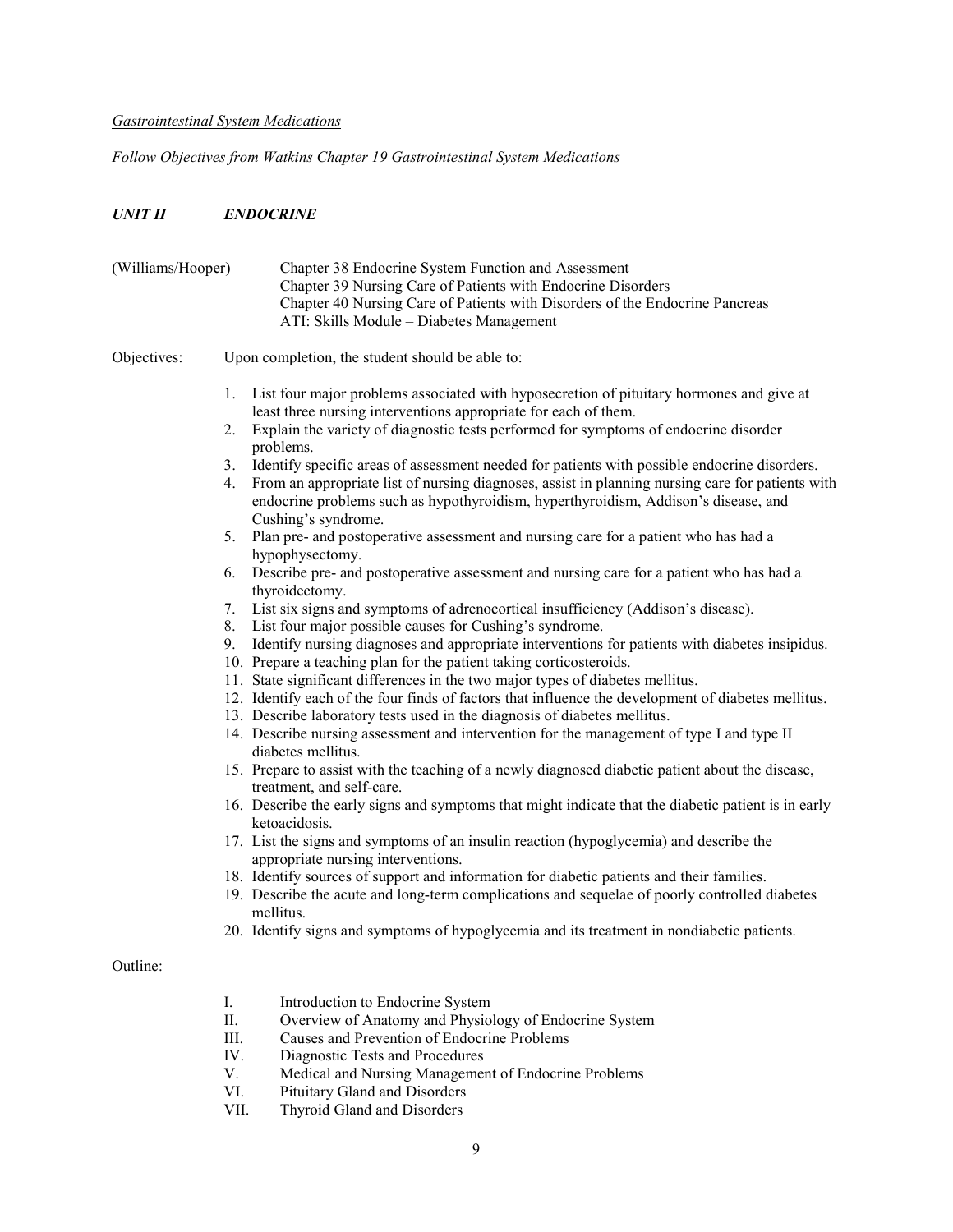## *Gastrointestinal System Medications*

*Follow Objectives from Watkins Chapter 19 Gastrointestinal System Medications*

## *UNIT II ENDOCRINE*

| (Williams/Hooper) |                                                    | Chapter 38 Endocrine System Function and Assessment<br>Chapter 39 Nursing Care of Patients with Endocrine Disorders<br>Chapter 40 Nursing Care of Patients with Disorders of the Endocrine Pancreas<br>ATI: Skills Module - Diabetes Management                                                                                                                                                                                                                                                                                                                                                                                                                                                                                                                                                                                                                                                                                                                                                                                                                                                                                                                                                                                                                                                                                                                                                                                                                                                                                                                                                                                                                                                                                                                                                                                                                                                                    |
|-------------------|----------------------------------------------------|--------------------------------------------------------------------------------------------------------------------------------------------------------------------------------------------------------------------------------------------------------------------------------------------------------------------------------------------------------------------------------------------------------------------------------------------------------------------------------------------------------------------------------------------------------------------------------------------------------------------------------------------------------------------------------------------------------------------------------------------------------------------------------------------------------------------------------------------------------------------------------------------------------------------------------------------------------------------------------------------------------------------------------------------------------------------------------------------------------------------------------------------------------------------------------------------------------------------------------------------------------------------------------------------------------------------------------------------------------------------------------------------------------------------------------------------------------------------------------------------------------------------------------------------------------------------------------------------------------------------------------------------------------------------------------------------------------------------------------------------------------------------------------------------------------------------------------------------------------------------------------------------------------------------|
| Objectives:       |                                                    | Upon completion, the student should be able to:                                                                                                                                                                                                                                                                                                                                                                                                                                                                                                                                                                                                                                                                                                                                                                                                                                                                                                                                                                                                                                                                                                                                                                                                                                                                                                                                                                                                                                                                                                                                                                                                                                                                                                                                                                                                                                                                    |
|                   | 1.<br>2.<br>3.<br>4.<br>5.<br>6.<br>7.<br>8.<br>9. | List four major problems associated with hyposecretion of pituitary hormones and give at<br>least three nursing interventions appropriate for each of them.<br>Explain the variety of diagnostic tests performed for symptoms of endocrine disorder<br>problems.<br>Identify specific areas of assessment needed for patients with possible endocrine disorders.<br>From an appropriate list of nursing diagnoses, assist in planning nursing care for patients with<br>endocrine problems such as hypothyroidism, hyperthyroidism, Addison's disease, and<br>Cushing's syndrome.<br>Plan pre- and postoperative assessment and nursing care for a patient who has had a<br>hypophysectomy.<br>Describe pre- and postoperative assessment and nursing care for a patient who has had a<br>thyroidectomy.<br>List six signs and symptoms of adrenocortical insufficiency (Addison's disease).<br>List four major possible causes for Cushing's syndrome.<br>Identify nursing diagnoses and appropriate interventions for patients with diabetes insipidus.<br>10. Prepare a teaching plan for the patient taking corticosteroids.<br>11. State significant differences in the two major types of diabetes mellitus.<br>12. Identify each of the four finds of factors that influence the development of diabetes mellitus.<br>13. Describe laboratory tests used in the diagnosis of diabetes mellitus.<br>14. Describe nursing assessment and intervention for the management of type I and type II<br>diabetes mellitus.<br>15. Prepare to assist with the teaching of a newly diagnosed diabetic patient about the disease,<br>treatment, and self-care.<br>16. Describe the early signs and symptoms that might indicate that the diabetic patient is in early<br>ketoacidosis.<br>17. List the signs and symptoms of an insulin reaction (hypoglycemia) and describe the<br>appropriate nursing interventions. |
|                   |                                                    | 18. Identify sources of support and information for diabetic patients and their families.<br>19. Describe the acute and long-term complications and sequelae of poorly controlled diabetes<br>mellitus.<br>20. Identify signs and symptoms of hypoglycemia and its treatment in nondiabetic patients.                                                                                                                                                                                                                                                                                                                                                                                                                                                                                                                                                                                                                                                                                                                                                                                                                                                                                                                                                                                                                                                                                                                                                                                                                                                                                                                                                                                                                                                                                                                                                                                                              |
| Outline:          |                                                    |                                                                                                                                                                                                                                                                                                                                                                                                                                                                                                                                                                                                                                                                                                                                                                                                                                                                                                                                                                                                                                                                                                                                                                                                                                                                                                                                                                                                                                                                                                                                                                                                                                                                                                                                                                                                                                                                                                                    |
|                   | I.<br>II.<br>III.<br>IV.<br>V.                     | Introduction to Endocrine System<br>Overview of Anatomy and Physiology of Endocrine System<br>Causes and Prevention of Endocrine Problems<br>Diagnostic Tests and Procedures<br>Medical and Nursing Management of Endocrine Problems                                                                                                                                                                                                                                                                                                                                                                                                                                                                                                                                                                                                                                                                                                                                                                                                                                                                                                                                                                                                                                                                                                                                                                                                                                                                                                                                                                                                                                                                                                                                                                                                                                                                               |

- VI. Pituitary Gland and Disorders
- VII. Thyroid Gland and Disorders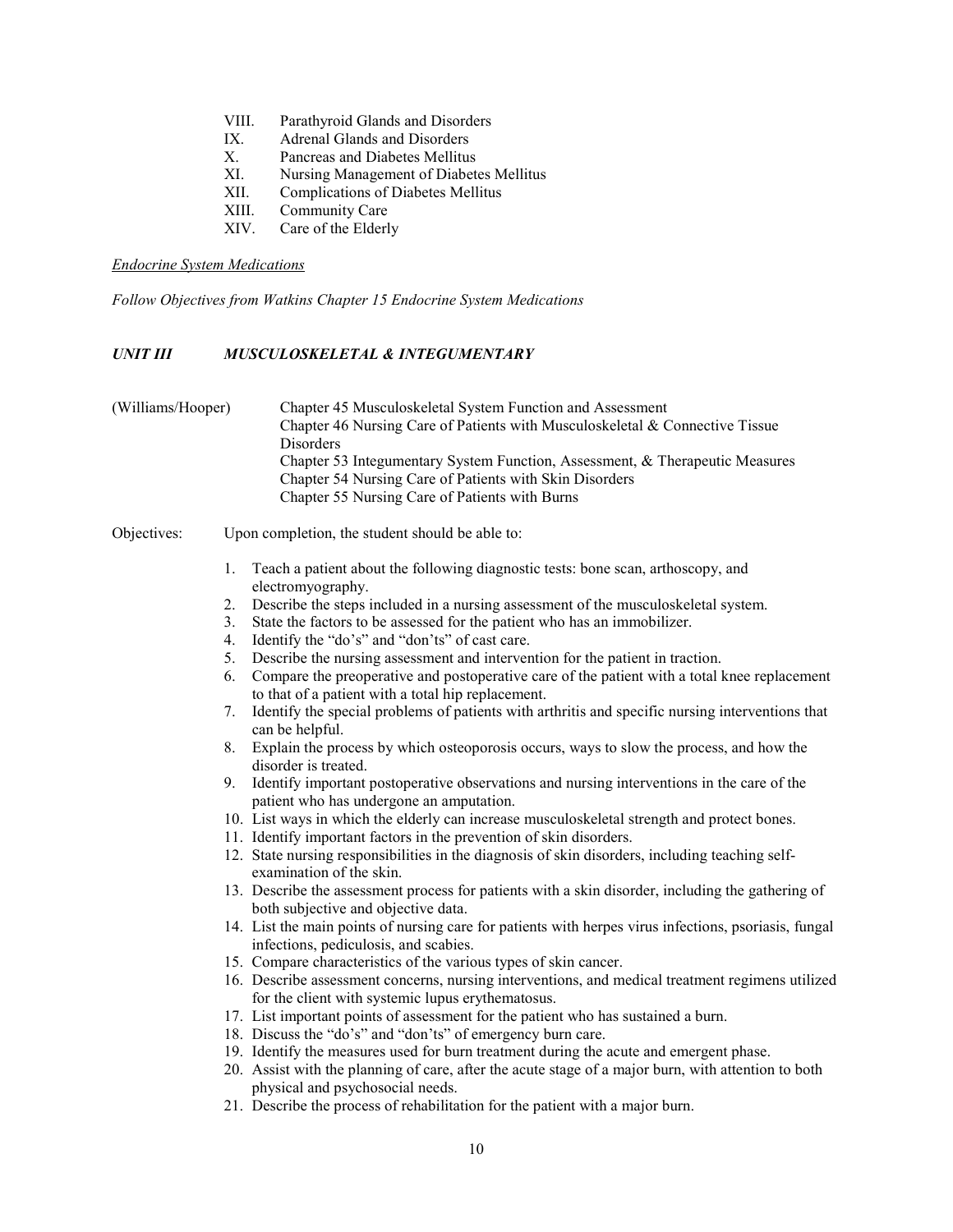- VIII. Parathyroid Glands and Disorders
- IX. Adrenal Glands and Disorders
- X. Pancreas and Diabetes Mellitus
- XI. Nursing Management of Diabetes Mellitus
- XII. Complications of Diabetes Mellitus
- XIII. Community Care
- XIV. Care of the Elderly

#### *Endocrine System Medications*

*Follow Objectives from Watkins Chapter 15 Endocrine System Medications*

## *UNIT III MUSCULOSKELETAL & INTEGUMENTARY*

## (Williams/Hooper) Chapter 45 Musculoskeletal System Function and Assessment Chapter 46 Nursing Care of Patients with Musculoskeletal & Connective Tissue Disorders Chapter 53 Integumentary System Function, Assessment, & Therapeutic Measures Chapter 54 Nursing Care of Patients with Skin Disorders Chapter 55 Nursing Care of Patients with Burns

#### Objectives: Upon completion, the student should be able to:

- 1. Teach a patient about the following diagnostic tests: bone scan, arthoscopy, and electromyography.
- 2. Describe the steps included in a nursing assessment of the musculoskeletal system.
- 3. State the factors to be assessed for the patient who has an immobilizer.
- 4. Identify the "do's" and "don'ts" of cast care.
- 5. Describe the nursing assessment and intervention for the patient in traction.
- 6. Compare the preoperative and postoperative care of the patient with a total knee replacement to that of a patient with a total hip replacement.
- 7. Identify the special problems of patients with arthritis and specific nursing interventions that can be helpful.
- 8. Explain the process by which osteoporosis occurs, ways to slow the process, and how the disorder is treated.
- 9. Identify important postoperative observations and nursing interventions in the care of the patient who has undergone an amputation.
- 10. List ways in which the elderly can increase musculoskeletal strength and protect bones.
- 11. Identify important factors in the prevention of skin disorders.
- 12. State nursing responsibilities in the diagnosis of skin disorders, including teaching selfexamination of the skin.
- 13. Describe the assessment process for patients with a skin disorder, including the gathering of both subjective and objective data.
- 14. List the main points of nursing care for patients with herpes virus infections, psoriasis, fungal infections, pediculosis, and scabies.
- 15. Compare characteristics of the various types of skin cancer.
- 16. Describe assessment concerns, nursing interventions, and medical treatment regimens utilized for the client with systemic lupus erythematosus.
- 17. List important points of assessment for the patient who has sustained a burn.
- 18. Discuss the "do's" and "don'ts" of emergency burn care.
- 19. Identify the measures used for burn treatment during the acute and emergent phase.
- 20. Assist with the planning of care, after the acute stage of a major burn, with attention to both physical and psychosocial needs.
- 21. Describe the process of rehabilitation for the patient with a major burn.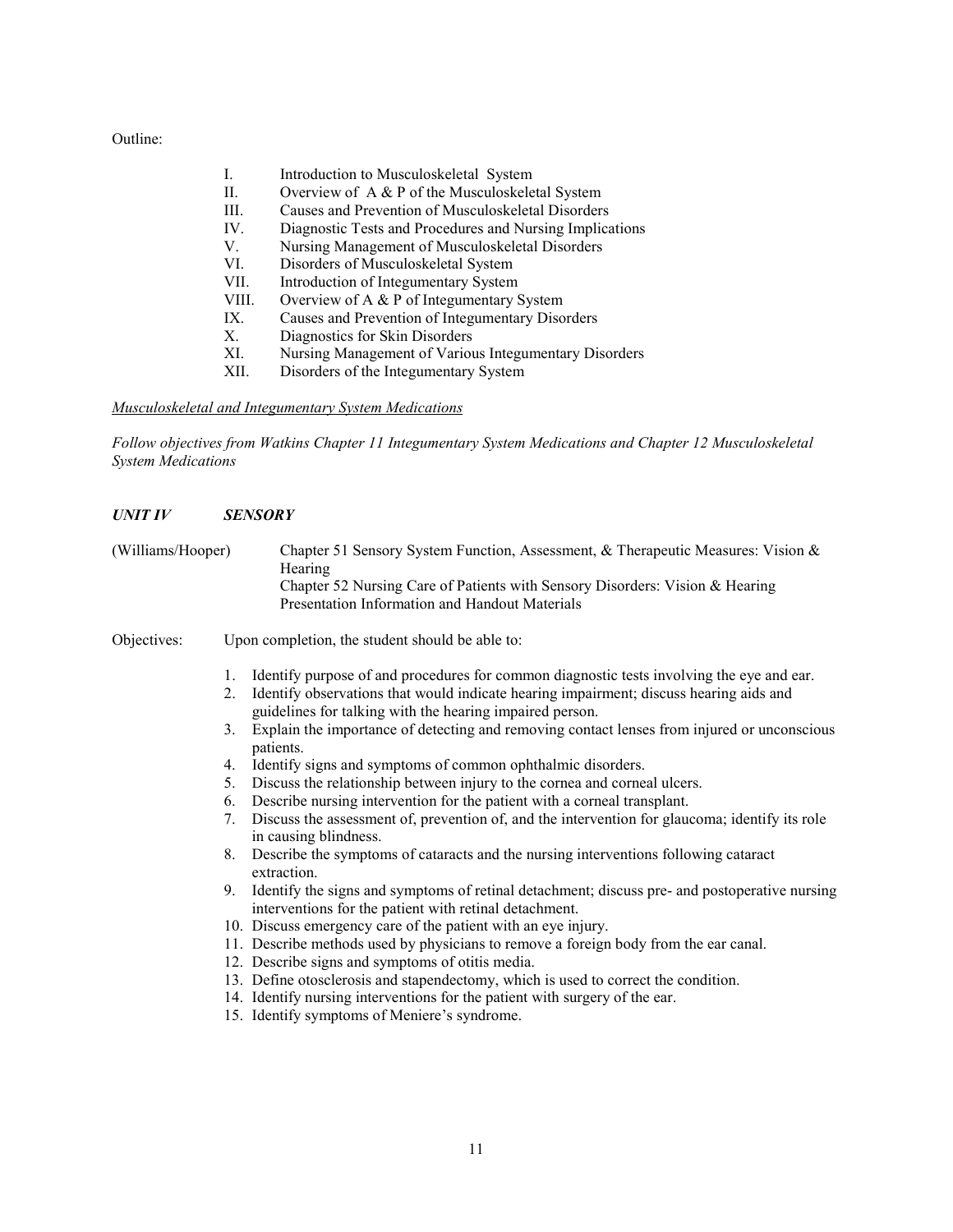Outline:

|       | Introduction to Musculoskeletal System                   |
|-------|----------------------------------------------------------|
| Н.    | Overview of A & P of the Musculoskeletal System          |
| III.  | Causes and Prevention of Musculoskeletal Disorders       |
| IV.   | Diagnostic Tests and Procedures and Nursing Implications |
| V.    | Nursing Management of Musculoskeletal Disorders          |
| VI.   | Disorders of Musculoskeletal System                      |
| VII.  | Introduction of Integumentary System                     |
| VIII. | Overview of A $\&$ P of Integumentary System             |
| IX.   | Causes and Prevention of Integumentary Disorders         |
| Χ.    | Diagnostics for Skin Disorders                           |
| XI.   | Nursing Management of Various Integumentary Disorders    |
| XII.  | Disorders of the Integumentary System                    |

*Musculoskeletal and Integumentary System Medications*

*Follow objectives from Watkins Chapter 11 Integumentary System Medications and Chapter 12 Musculoskeletal System Medications*

## *UNIT IV SENSORY*

| (Williams/Hooper) |                                                    | Chapter 51 Sensory System Function, Assessment, & Therapeutic Measures: Vision &<br>Hearing<br>Chapter 52 Nursing Care of Patients with Sensory Disorders: Vision & Hearing<br>Presentation Information and Handout Materials                                                                                                                                                                                                                                                                                                                                                                                                                                                                                                                                                                                                                                                                                                                                                                                                                    |  |  |
|-------------------|----------------------------------------------------|--------------------------------------------------------------------------------------------------------------------------------------------------------------------------------------------------------------------------------------------------------------------------------------------------------------------------------------------------------------------------------------------------------------------------------------------------------------------------------------------------------------------------------------------------------------------------------------------------------------------------------------------------------------------------------------------------------------------------------------------------------------------------------------------------------------------------------------------------------------------------------------------------------------------------------------------------------------------------------------------------------------------------------------------------|--|--|
| Objectives:       |                                                    | Upon completion, the student should be able to:                                                                                                                                                                                                                                                                                                                                                                                                                                                                                                                                                                                                                                                                                                                                                                                                                                                                                                                                                                                                  |  |  |
|                   | 1.<br>2.<br>3.<br>4.<br>5.<br>6.<br>7.<br>8.<br>9. | Identify purpose of and procedures for common diagnostic tests involving the eye and ear.<br>Identify observations that would indicate hearing impairment; discuss hearing aids and<br>guidelines for talking with the hearing impaired person.<br>Explain the importance of detecting and removing contact lenses from injured or unconscious<br>patients.<br>Identify signs and symptoms of common ophthalmic disorders.<br>Discuss the relationship between injury to the cornea and corneal ulcers.<br>Describe nursing intervention for the patient with a corneal transplant.<br>Discuss the assessment of, prevention of, and the intervention for glaucoma; identify its role<br>in causing blindness.<br>Describe the symptoms of cataracts and the nursing interventions following cataract<br>extraction.<br>Identify the signs and symptoms of retinal detachment; discuss pre- and postoperative nursing<br>interventions for the patient with retinal detachment.<br>10. Discuss emergency care of the patient with an eye injury. |  |  |
|                   |                                                    | 11. Describe methods used by physicians to remove a foreign body from the ear canal.<br>12. Describe signs and symptoms of otitis media.<br>13. Define otosclerosis and stapendectomy, which is used to correct the condition.<br>14. Identify nursing interventions for the patient with surgery of the ear.<br>15. Identify symptoms of Meniere's syndrome.                                                                                                                                                                                                                                                                                                                                                                                                                                                                                                                                                                                                                                                                                    |  |  |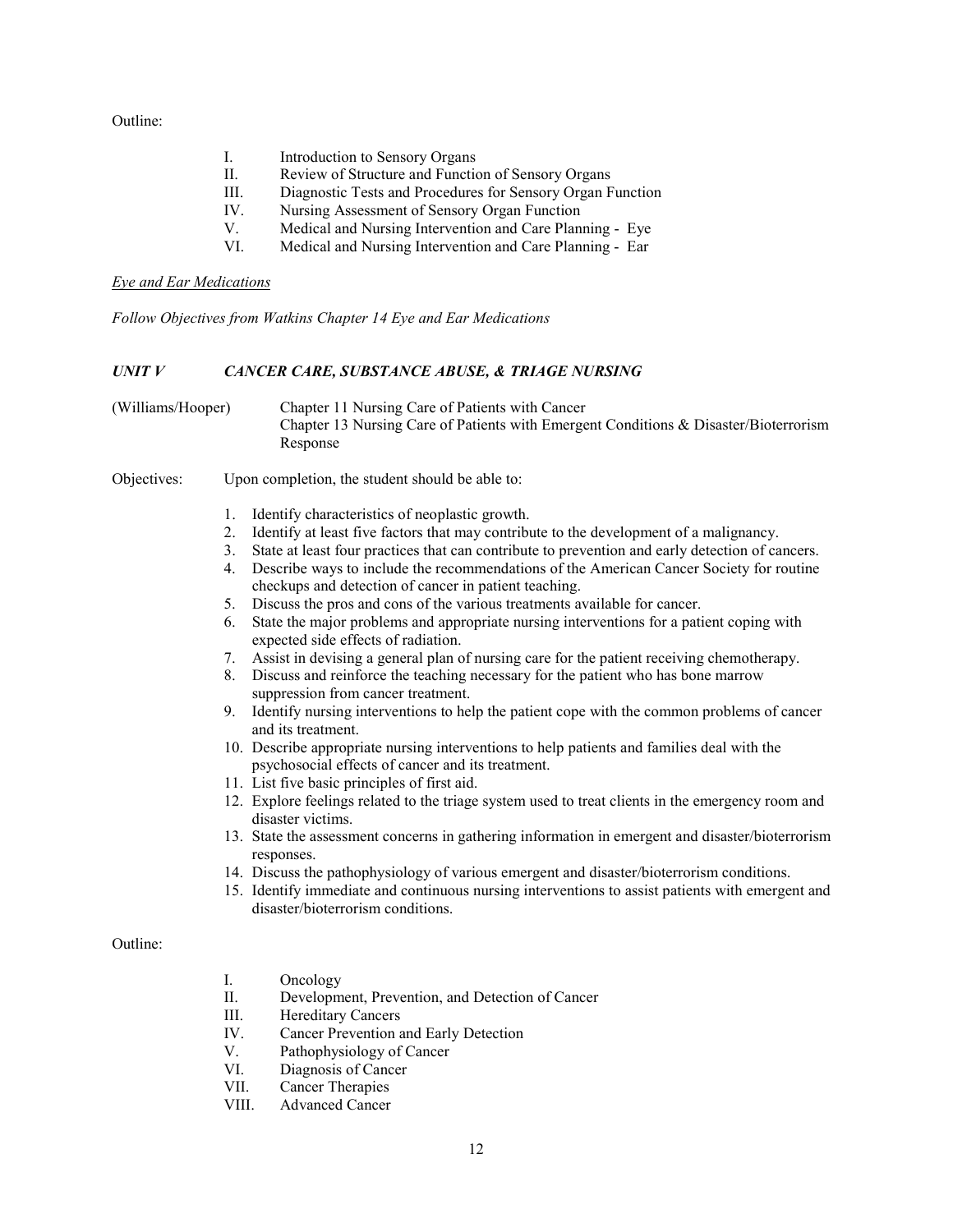Outline:

- I. Introduction to Sensory Organs
- II. Review of Structure and Function of Sensory Organs
- III. Diagnostic Tests and Procedures for Sensory Organ Function
- IV. Nursing Assessment of Sensory Organ Function
- V. Medical and Nursing Intervention and Care Planning Eye
- VI. Medical and Nursing Intervention and Care Planning Ear

#### *Eye and Ear Medications*

*Follow Objectives from Watkins Chapter 14 Eye and Ear Medications*

## *UNIT V CANCER CARE, SUBSTANCE ABUSE, & TRIAGE NURSING*

| (Williams/Hooper) | Chapter 11 Nursing Care of Patients with Cancer                                      |
|-------------------|--------------------------------------------------------------------------------------|
|                   | Chapter 13 Nursing Care of Patients with Emergent Conditions & Disaster/Bioterrorism |
|                   | Response                                                                             |

#### Objectives: Upon completion, the student should be able to:

- 1. Identify characteristics of neoplastic growth.
- 2. Identify at least five factors that may contribute to the development of a malignancy.
- 3. State at least four practices that can contribute to prevention and early detection of cancers.
- 4. Describe ways to include the recommendations of the American Cancer Society for routine checkups and detection of cancer in patient teaching.
- 5. Discuss the pros and cons of the various treatments available for cancer.
- 6. State the major problems and appropriate nursing interventions for a patient coping with expected side effects of radiation.
- 7. Assist in devising a general plan of nursing care for the patient receiving chemotherapy.
- 8. Discuss and reinforce the teaching necessary for the patient who has bone marrow suppression from cancer treatment.
- 9. Identify nursing interventions to help the patient cope with the common problems of cancer and its treatment.
- 10. Describe appropriate nursing interventions to help patients and families deal with the psychosocial effects of cancer and its treatment.
- 11. List five basic principles of first aid.
- 12. Explore feelings related to the triage system used to treat clients in the emergency room and disaster victims.
- 13. State the assessment concerns in gathering information in emergent and disaster/bioterrorism responses.
- 14. Discuss the pathophysiology of various emergent and disaster/bioterrorism conditions.
- 15. Identify immediate and continuous nursing interventions to assist patients with emergent and disaster/bioterrorism conditions.

#### Outline:

- I. Oncology
- II. Development, Prevention, and Detection of Cancer
- III. Hereditary Cancers
- IV. Cancer Prevention and Early Detection
- V. Pathophysiology of Cancer
- VI. Diagnosis of Cancer
- VII. Cancer Therapies
- VIII. Advanced Cancer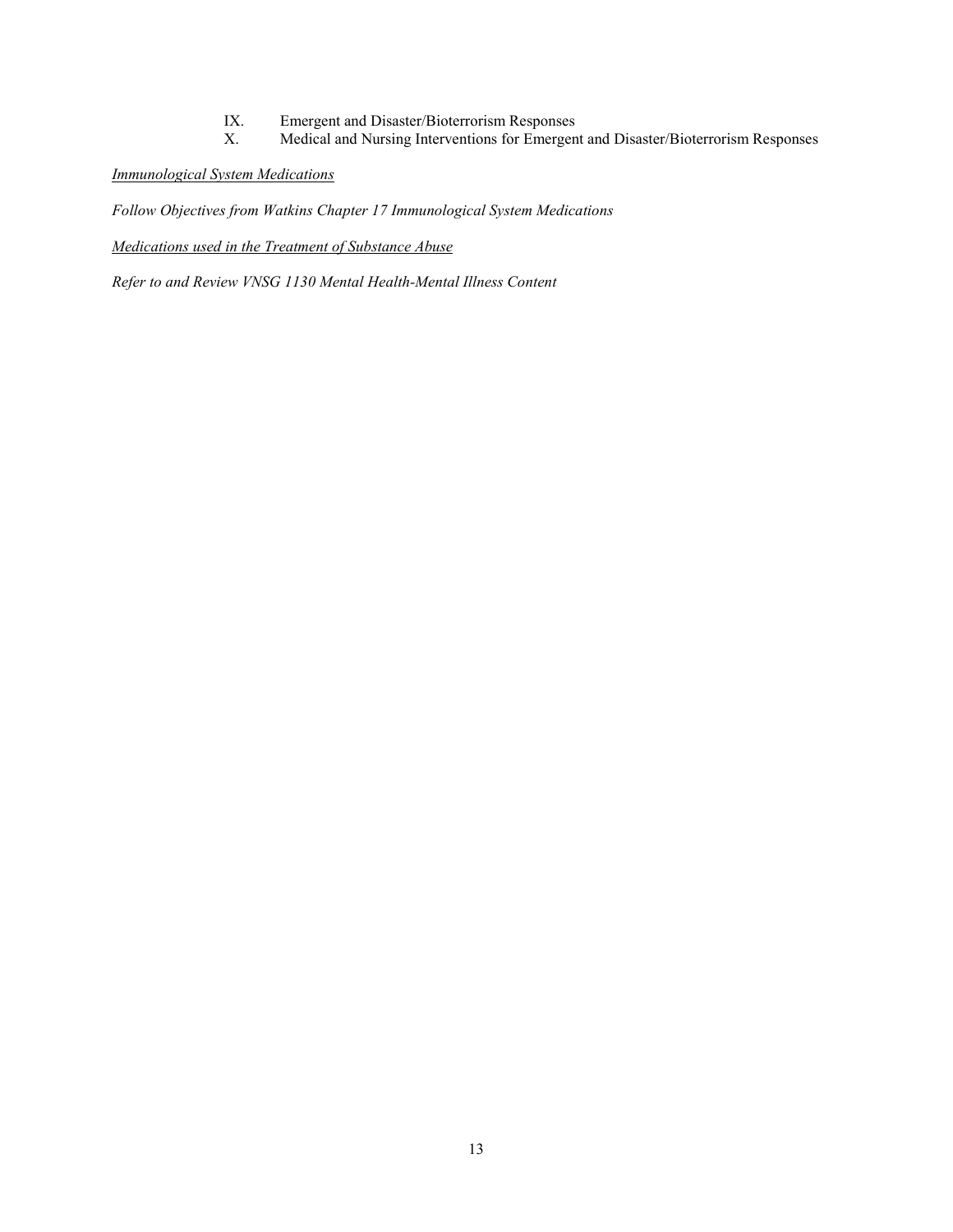- IX. Emergent and Disaster/Bioterrorism Responses<br>
X. Medical and Nursing Interventions for Emergen
- Medical and Nursing Interventions for Emergent and Disaster/Bioterrorism Responses

## *Immunological System Medications*

*Follow Objectives from Watkins Chapter 17 Immunological System Medications*

*Medications used in the Treatment of Substance Abuse*

*Refer to and Review VNSG 1130 Mental Health-Mental Illness Content*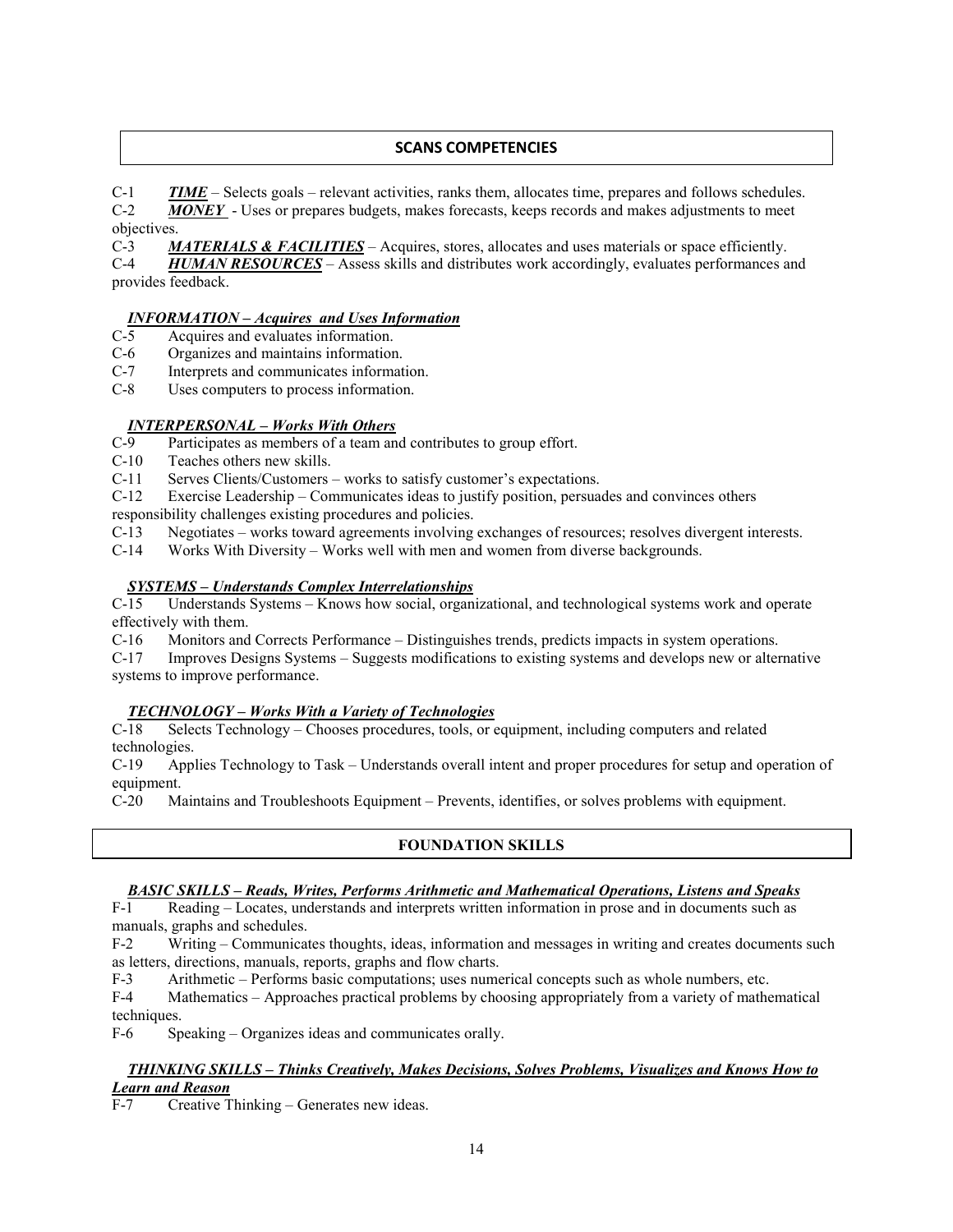## **SCANS COMPETENCIES**

C-1 *TIME* – Selects goals – relevant activities, ranks them, allocates time, prepares and follows schedules. C-2 *MONEY* - Uses or prepares budgets, makes forecasts, keeps records and makes adjustments to meet objectives.

C-3 *MATERIALS & FACILITIES* – Acquires, stores, allocates and uses materials or space efficiently.

C-4 *HUMAN RESOURCES* – Assess skills and distributes work accordingly, evaluates performances and provides feedback.

# *INFORMATION – Acquires and Uses Information*

Acquires and evaluates information.

C-6 Organizes and maintains information.

C-7 Interprets and communicates information.

C-8 Uses computers to process information.

## *INTERPERSONAL – Works With Others*

- C-9 Participates as members of a team and contributes to group effort.
- C-10 Teaches others new skills.

C-11 Serves Clients/Customers – works to satisfy customer's expectations.

C-12 Exercise Leadership – Communicates ideas to justify position, persuades and convinces others responsibility challenges existing procedures and policies.

C-13 Negotiates – works toward agreements involving exchanges of resources; resolves divergent interests.

C-14 Works With Diversity – Works well with men and women from diverse backgrounds.

## *SYSTEMS – Understands Complex Interrelationships*

C-15 Understands Systems – Knows how social, organizational, and technological systems work and operate effectively with them.

C-16 Monitors and Corrects Performance – Distinguishes trends, predicts impacts in system operations.

C-17 Improves Designs Systems – Suggests modifications to existing systems and develops new or alternative systems to improve performance.

# *TECHNOLOGY – Works With a Variety of Technologies*

Selects Technology – Chooses procedures, tools, or equipment, including computers and related technologies.

C-19 Applies Technology to Task – Understands overall intent and proper procedures for setup and operation of equipment.

C-20 Maintains and Troubleshoots Equipment – Prevents, identifies, or solves problems with equipment.

## **FOUNDATION SKILLS**

#### *BASIC SKILLS – Reads, Writes, Performs Arithmetic and Mathematical Operations, Listens and Speaks*

F-1 Reading – Locates, understands and interprets written information in prose and in documents such as manuals, graphs and schedules.

F-2 Writing – Communicates thoughts, ideas, information and messages in writing and creates documents such as letters, directions, manuals, reports, graphs and flow charts.

F-3 Arithmetic – Performs basic computations; uses numerical concepts such as whole numbers, etc.

F-4 Mathematics – Approaches practical problems by choosing appropriately from a variety of mathematical techniques.

F-6 Speaking – Organizes ideas and communicates orally.

## *THINKING SKILLS – Thinks Creatively, Makes Decisions, Solves Problems, Visualizes and Knows How to Learn and Reason*

F-7 Creative Thinking – Generates new ideas.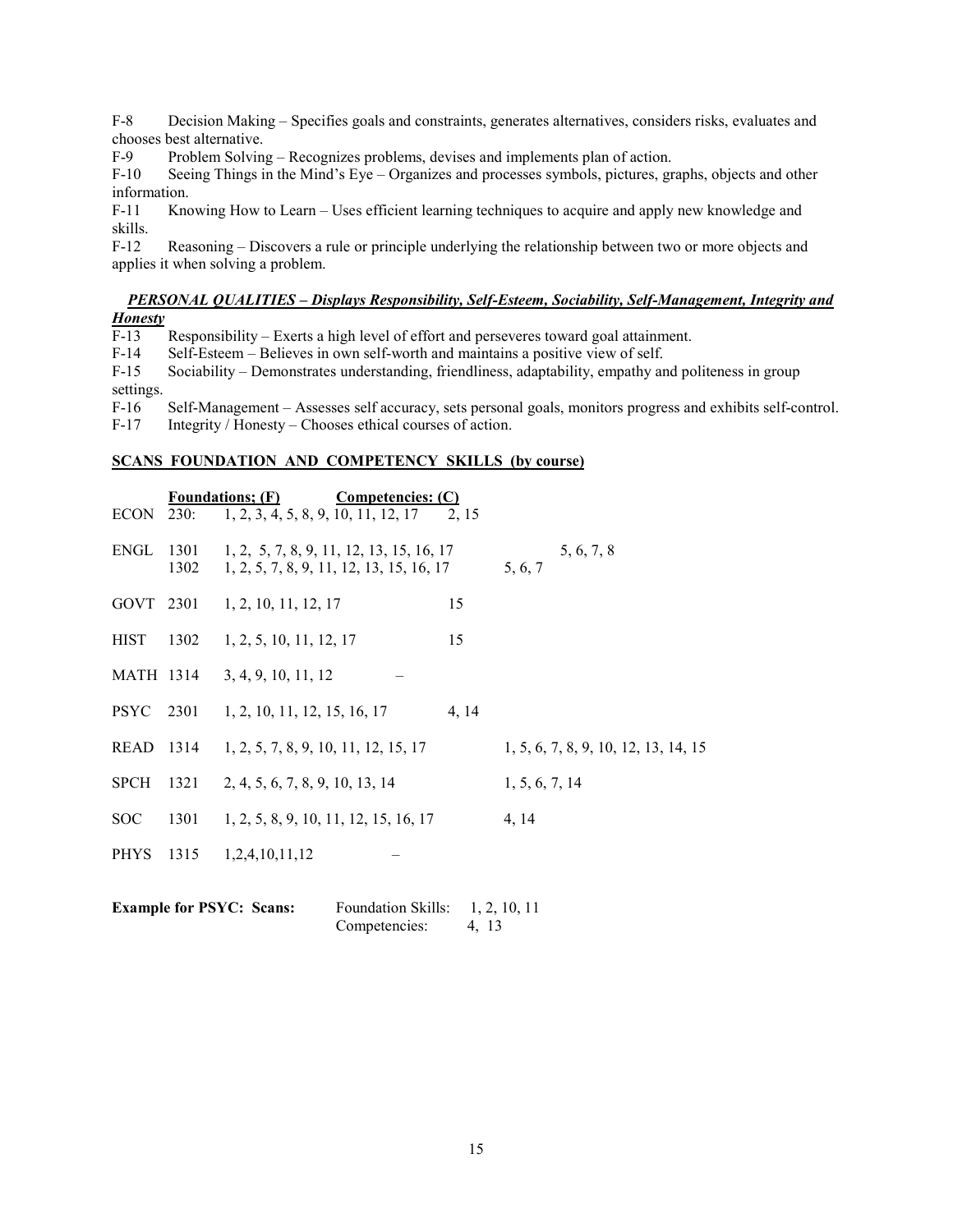F-8 Decision Making – Specifies goals and constraints, generates alternatives, considers risks, evaluates and chooses best alternative.

F-9 Problem Solving – Recognizes problems, devises and implements plan of action.

F-10 Seeing Things in the Mind's Eye – Organizes and processes symbols, pictures, graphs, objects and other information.

F-11 Knowing How to Learn – Uses efficient learning techniques to acquire and apply new knowledge and skills.

F-12 Reasoning – Discovers a rule or principle underlying the relationship between two or more objects and applies it when solving a problem.

# *PERSONAL QUALITIES – Displays Responsibility, Self-Esteem, Sociability, Self-Management, Integrity and*

*Honesty*  Responsibility – Exerts a high level of effort and perseveres toward goal attainment.

F-14 Self-Esteem – Believes in own self-worth and maintains a positive view of self.

F-15 Sociability – Demonstrates understanding, friendliness, adaptability, empathy and politeness in group settings.

F-16 Self-Management – Assesses self accuracy, sets personal goals, monitors progress and exhibits self-control.

F-17 Integrity / Honesty – Chooses ethical courses of action.

# **SCANS FOUNDATION AND COMPETENCY SKILLS (by course)**

|             |              | <b>Foundations:</b> (F)<br><b>Competencies: (C)</b>                                  |       |                                      |
|-------------|--------------|--------------------------------------------------------------------------------------|-------|--------------------------------------|
| ECON 230:   |              | $1, 2, 3, 4, 5, 8, 9, 10, 11, 12, 17$ 2, 15                                          |       |                                      |
| ENGL        | 1301<br>1302 | 1, 2, 5, 7, 8, 9, 11, 12, 13, 15, 16, 17<br>1, 2, 5, 7, 8, 9, 11, 12, 13, 15, 16, 17 |       | 5, 6, 7, 8<br>5.6.7                  |
|             |              | GOVT 2301 1, 2, 10, 11, 12, 17                                                       | 15    |                                      |
| <b>HIST</b> |              | $1302 \quad 1, 2, 5, 10, 11, 12, 17$                                                 | 15    |                                      |
|             |              | MATH 1314 3, 4, 9, 10, 11, 12                                                        |       |                                      |
|             |              | PSYC 2301 1, 2, 10, 11, 12, 15, 16, 17                                               | 4, 14 |                                      |
| READ 1314   |              | 1, 2, 5, 7, 8, 9, 10, 11, 12, 15, 17                                                 |       | 1, 5, 6, 7, 8, 9, 10, 12, 13, 14, 15 |
| <b>SPCH</b> | 1321         | 2, 4, 5, 6, 7, 8, 9, 10, 13, 14                                                      |       | 1, 5, 6, 7, 14                       |
| <b>SOC</b>  | 1301         | 1, 2, 5, 8, 9, 10, 11, 12, 15, 16, 17                                                |       | 4, 14                                |
| <b>PHYS</b> | 1315         | 1,2,4,10,11,12                                                                       |       |                                      |

| <b>Example for PSYC: Scans:</b> | <b>Foundation Skills:</b> | 1, 2, 10, 11 |
|---------------------------------|---------------------------|--------------|
|                                 | Competencies:             | 4, 13        |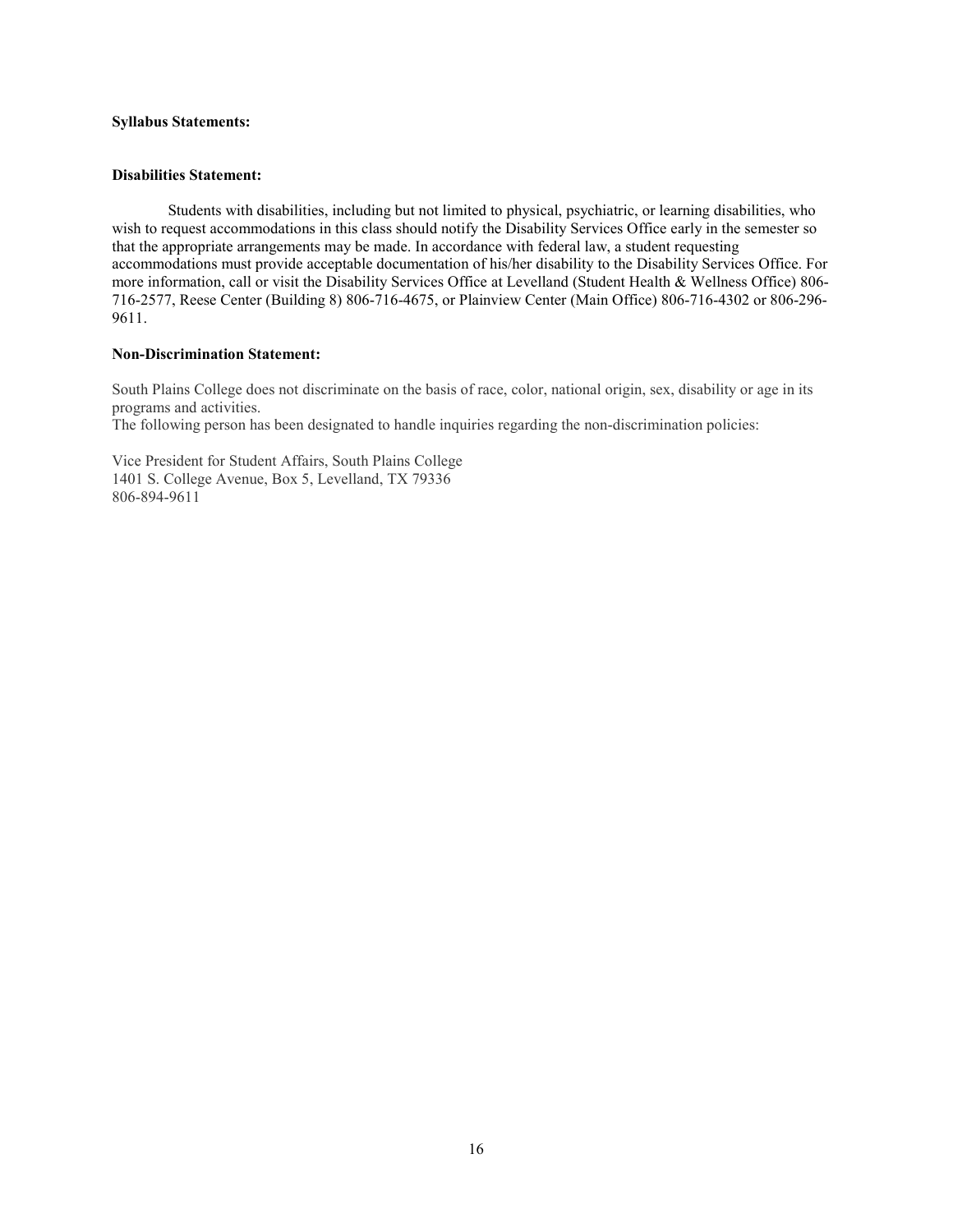## **Syllabus Statements:**

#### **Disabilities Statement:**

Students with disabilities, including but not limited to physical, psychiatric, or learning disabilities, who wish to request accommodations in this class should notify the Disability Services Office early in the semester so that the appropriate arrangements may be made. In accordance with federal law, a student requesting accommodations must provide acceptable documentation of his/her disability to the Disability Services Office. For more information, call or visit the Disability Services Office at Levelland (Student Health & Wellness Office) 806- 716-2577, Reese Center (Building 8) 806-716-4675, or Plainview Center (Main Office) 806-716-4302 or 806-296- 9611.

#### **Non-Discrimination Statement:**

South Plains College does not discriminate on the basis of race, color, national origin, sex, disability or age in its programs and activities.

The following person has been designated to handle inquiries regarding the non-discrimination policies:

Vice President for Student Affairs, South Plains College 1401 S. College Avenue, Box 5, Levelland, TX 79336 806-894-9611